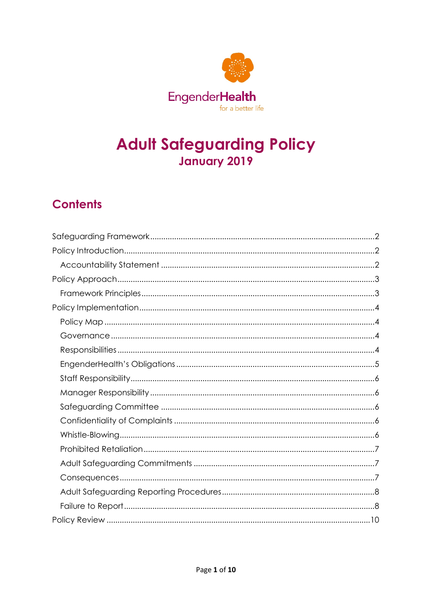

# **Adult Safeguarding Policy** January 2019

# **Contents**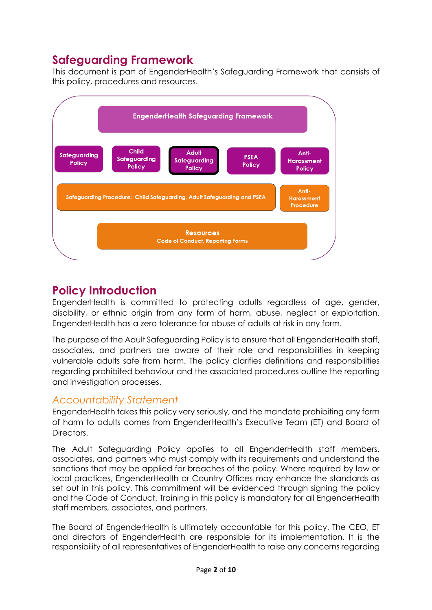# <span id="page-1-0"></span>**Safeguarding Framework**

This document is part of EngenderHealth's Safeguarding Framework that consists of this policy, procedures and resources.



# <span id="page-1-1"></span>**Policy Introduction**

EngenderHealth is committed to protecting adults regardless of age, gender, disability, or ethnic origin from any form of harm, abuse, neglect or exploitation. EngenderHealth has a zero tolerance for abuse of adults at risk in any form.

The purpose of the Adult Safeguarding Policy is to ensure that all EngenderHealth staff, associates, and partners are aware of their role and responsibilities in keeping vulnerable adults safe from harm. The policy clarifies definitions and responsibilities regarding prohibited behaviour and the associated procedures outline the reporting and investigation processes.

# <span id="page-1-2"></span>*Accountability Statement*

EngenderHealth takes this policy very seriously, and the mandate prohibiting any form of harm to adults comes from EngenderHealth's Executive Team (ET) and Board of Directors.

The Adult Safeguarding Policy applies to all EngenderHealth staff members, associates, and partners who must comply with its requirements and understand the sanctions that may be applied for breaches of the policy. Where required by law or local practices, EngenderHealth or Country Offices may enhance the standards as set out in this policy. This commitment will be evidenced through signing the policy and the Code of Conduct. Training in this policy is mandatory for all EngenderHealth staff members, associates, and partners.

The Board of EngenderHealth is ultimately accountable for this policy. The CEO, ET and directors of EngenderHealth are responsible for its implementation. It is the responsibility of all representatives of EngenderHealth to raise any concerns regarding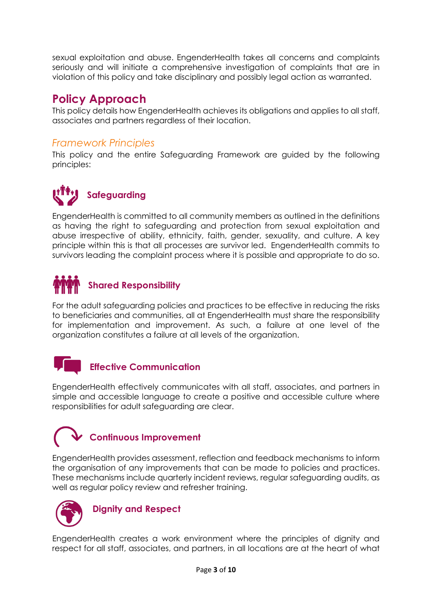sexual exploitation and abuse. EngenderHealth takes all concerns and complaints seriously and will initiate a comprehensive investigation of complaints that are in violation of this policy and take disciplinary and possibly legal action as warranted.

# <span id="page-2-0"></span>**Policy Approach**

This policy details how EngenderHealth achieves its obligations and applies to all staff, associates and partners regardless of their location.

## <span id="page-2-1"></span>*Framework Principles*

This policy and the entire Safeguarding Framework are guided by the following principles:

# **Safeguarding**

EngenderHealth is committed to all community members as outlined in the definitions as having the right to safeguarding and protection from sexual exploitation and abuse irrespective of ability, ethnicity, faith, gender, sexuality, and culture. A key principle within this is that all processes are survivor led. EngenderHealth commits to survivors leading the complaint process where it is possible and appropriate to do so.

# **Shared Responsibility**

For the adult safeguarding policies and practices to be effective in reducing the risks to beneficiaries and communities, all at EngenderHealth must share the responsibility for implementation and improvement. As such, a failure at one level of the organization constitutes a failure at all levels of the organization.

# **Effective Communication**

EngenderHealth effectively communicates with all staff, associates, and partners in simple and accessible language to create a positive and accessible culture where responsibilities for adult safeguarding are clear.

# **Continuous Improvement**

EngenderHealth provides assessment, reflection and feedback mechanisms to inform the organisation of any improvements that can be made to policies and practices. These mechanisms include quarterly incident reviews, regular safeguarding audits, as well as regular policy review and refresher training.



# **Dignity and Respect**

EngenderHealth creates a work environment where the principles of dignity and respect for all staff, associates, and partners, in all locations are at the heart of what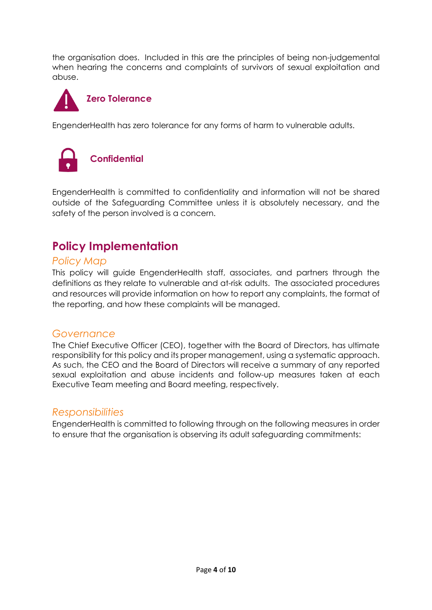the organisation does. Included in this are the principles of being non-judgemental when hearing the concerns and complaints of survivors of sexual exploitation and abuse.



EngenderHealth has zero tolerance for any forms of harm to vulnerable adults.



EngenderHealth is committed to confidentiality and information will not be shared outside of the Safeguarding Committee unless it is absolutely necessary, and the safety of the person involved is a concern.

# <span id="page-3-0"></span>**Policy Implementation**

### <span id="page-3-1"></span>*Policy Map*

This policy will guide EngenderHealth staff, associates, and partners through the definitions as they relate to vulnerable and at-risk adults. The associated procedures and resources will provide information on how to report any complaints, the format of the reporting, and how these complaints will be managed.

## <span id="page-3-2"></span>*Governance*

The Chief Executive Officer (CEO), together with the Board of Directors, has ultimate responsibility for this policy and its proper management, using a systematic approach. As such, the CEO and the Board of Directors will receive a summary of any reported sexual exploitation and abuse incidents and follow-up measures taken at each Executive Team meeting and Board meeting, respectively.

## <span id="page-3-3"></span>*Responsibilities*

EngenderHealth is committed to following through on the following measures in order to ensure that the organisation is observing its adult safeguarding commitments: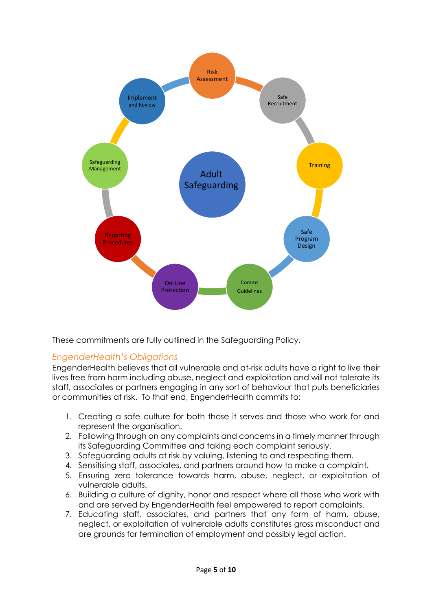

These commitments are fully outlined in the Safeguarding Policy.

#### <span id="page-4-0"></span>*EngenderHealth's Obligations*

EngenderHealth believes that all vulnerable and at-risk adults have a right to live their lives free from harm including abuse, neglect and exploitation and will not tolerate its staff, associates or partners engaging in any sort of behaviour that puts beneficiaries or communities at risk. To that end, EngenderHealth commits to:

- 1. Creating a safe culture for both those it serves and those who work for and represent the organisation.
- 2. Following through on any complaints and concerns in a timely manner through its Safeguarding Committee and taking each complaint seriously.
- 3. Safeguarding adults at risk by valuing, listening to and respecting them.
- 4. Sensitising staff, associates, and partners around how to make a complaint.
- 5. Ensuring zero tolerance towards harm, abuse, neglect, or exploitation of vulnerable adults.
- 6. Building a culture of dignity, honor and respect where all those who work with and are served by EngenderHealth feel empowered to report complaints.
- 7. Educating staff, associates, and partners that any form of harm, abuse, neglect, or exploitation of vulnerable adults constitutes gross misconduct and are grounds for termination of employment and possibly legal action.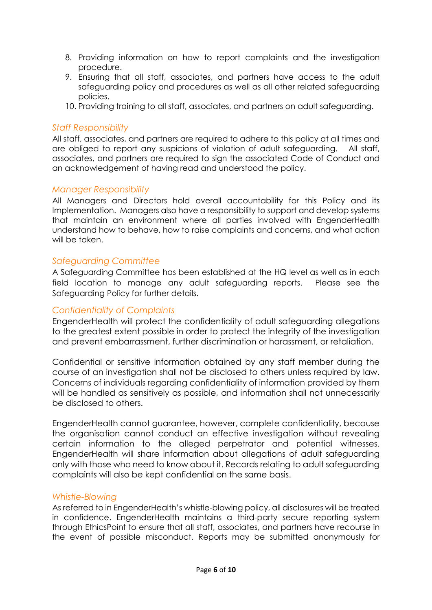- 8. Providing information on how to report complaints and the investigation procedure.
- 9. Ensuring that all staff, associates, and partners have access to the adult safeguarding policy and procedures as well as all other related safeguarding policies.
- 10. Providing training to all staff, associates, and partners on adult safeguarding.

#### <span id="page-5-0"></span>*Staff Responsibility*

All staff, associates, and partners are required to adhere to this policy at all times and are obliged to report any suspicions of violation of adult safeguarding. All staff, associates, and partners are required to sign the associated Code of Conduct and an acknowledgement of having read and understood the policy.

#### <span id="page-5-1"></span>*Manager Responsibility*

All Managers and Directors hold overall accountability for this Policy and its Implementation. Managers also have a responsibility to support and develop systems that maintain an environment where all parties involved with EngenderHealth understand how to behave, how to raise complaints and concerns, and what action will be taken.

#### <span id="page-5-2"></span>*Safeguarding Committee*

A Safeguarding Committee has been established at the HQ level as well as in each field location to manage any adult safeguarding reports. Please see the Safeguarding Policy for further details.

#### <span id="page-5-3"></span>*Confidentiality of Complaints*

EngenderHealth will protect the confidentiality of adult safeguarding allegations to the greatest extent possible in order to protect the integrity of the investigation and prevent embarrassment, further discrimination or harassment, or retaliation.

Confidential or sensitive information obtained by any staff member during the course of an investigation shall not be disclosed to others unless required by law. Concerns of individuals regarding confidentiality of information provided by them will be handled as sensitively as possible, and information shall not unnecessarily be disclosed to others.

EngenderHealth cannot guarantee, however, complete confidentiality, because the organisation cannot conduct an effective investigation without revealing certain information to the alleged perpetrator and potential witnesses. EngenderHealth will share information about allegations of adult safeguarding only with those who need to know about it. Records relating to adult safeguarding complaints will also be kept confidential on the same basis.

#### <span id="page-5-4"></span>*Whistle-Blowing*

As referred to in EngenderHealth's whistle-blowing policy, all disclosures will be treated in confidence. EngenderHealth maintains a third-party secure reporting system through EthicsPoint to ensure that all staff, associates, and partners have recourse in the event of possible misconduct. Reports may be submitted anonymously for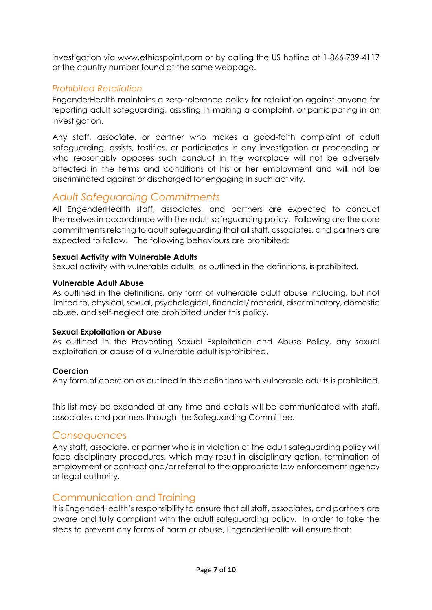investigation via www.ethicspoint.com or by calling the US hotline at 1-866-739-4117 or the country number found at the same webpage.

### <span id="page-6-0"></span>*Prohibited Retaliation*

EngenderHealth maintains a zero-tolerance policy for retaliation against anyone for reporting adult safeguarding, assisting in making a complaint, or participating in an investigation.

Any staff, associate, or partner who makes a good-faith complaint of adult safeguarding, assists, testifies, or participates in any investigation or proceeding or who reasonably opposes such conduct in the workplace will not be adversely affected in the terms and conditions of his or her employment and will not be discriminated against or discharged for engaging in such activity.

## <span id="page-6-1"></span>*Adult Safeguarding Commitments*

All EngenderHealth staff, associates, and partners are expected to conduct themselves in accordance with the adult safeguarding policy. Following are the core commitments relating to adult safeguarding that all staff, associates, and partners are expected to follow. The following behaviours are prohibited:

#### **Sexual Activity with Vulnerable Adults**

Sexual activity with vulnerable adults, as outlined in the definitions, is prohibited.

#### **Vulnerable Adult Abuse**

As outlined in the definitions, any form of vulnerable adult abuse including, but not limited to, physical, sexual, psychological, financial/ material, discriminatory, domestic abuse, and self-neglect are prohibited under this policy.

#### **Sexual Exploitation or Abuse**

As outlined in the Preventing Sexual Exploitation and Abuse Policy, any sexual exploitation or abuse of a vulnerable adult is prohibited.

#### **Coercion**

Any form of coercion as outlined in the definitions with vulnerable adults is prohibited.

This list may be expanded at any time and details will be communicated with staff, associates and partners through the Safeguarding Committee.

#### <span id="page-6-2"></span>*Consequences*

Any staff, associate, or partner who is in violation of the adult safeguarding policy will face disciplinary procedures, which may result in disciplinary action, termination of employment or contract and/or referral to the appropriate law enforcement agency or legal authority.

#### Communication and Training

It is EngenderHealth's responsibility to ensure that all staff, associates, and partners are aware and fully compliant with the adult safeguarding policy. In order to take the steps to prevent any forms of harm or abuse, EngenderHealth will ensure that: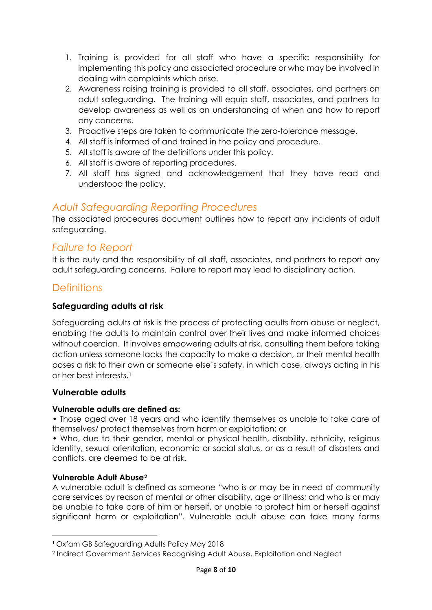- 1. Training is provided for all staff who have a specific responsibility for implementing this policy and associated procedure or who may be involved in dealing with complaints which arise.
- 2. Awareness raising training is provided to all staff, associates, and partners on adult safeguarding. The training will equip staff, associates, and partners to develop awareness as well as an understanding of when and how to report any concerns.
- 3. Proactive steps are taken to communicate the zero-tolerance message.
- 4. All staff is informed of and trained in the policy and procedure.
- 5. All staff is aware of the definitions under this policy.
- 6. All staff is aware of reporting procedures.
- 7. All staff has signed and acknowledgement that they have read and understood the policy.

## <span id="page-7-0"></span>*Adult Safeguarding Reporting Procedures*

The associated procedures document outlines how to report any incidents of adult safeguarding.

## <span id="page-7-1"></span>*Failure to Report*

It is the duty and the responsibility of all staff, associates, and partners to report any adult safeguarding concerns. Failure to report may lead to disciplinary action.

### **Definitions**

#### **Safeguarding adults at risk**

Safeguarding adults at risk is the process of protecting adults from abuse or neglect, enabling the adults to maintain control over their lives and make informed choices without coercion. It involves empowering adults at risk, consulting them before taking action unless someone lacks the capacity to make a decision, or their mental health poses a risk to their own or someone else's safety, in which case, always acting in his or her best interests.[1](#page-7-2)

#### **Vulnerable adults**

#### **Vulnerable adults are defined as:**

• Those aged over 18 years and who identify themselves as unable to take care of themselves/ protect themselves from harm or exploitation; or

• Who, due to their gender, mental or physical health, disability, ethnicity, religious identity, sexual orientation, economic or social status, or as a result of disasters and conflicts, are deemed to be at risk.

#### **Vulnerable Adult Abuse[2](#page-7-3)**

A vulnerable adult is defined as someone "who is or may be in need of community care services by reason of mental or other disability, age or illness; and who is or may be unable to take care of him or herself, or unable to protect him or herself against significant harm or exploitation". Vulnerable adult abuse can take many forms

<span id="page-7-2"></span> <sup>1</sup> Oxfam GB Safeguarding Adults Policy May 2018

<span id="page-7-3"></span><sup>2</sup> Indirect Government Services Recognising Adult Abuse, Exploitation and Neglect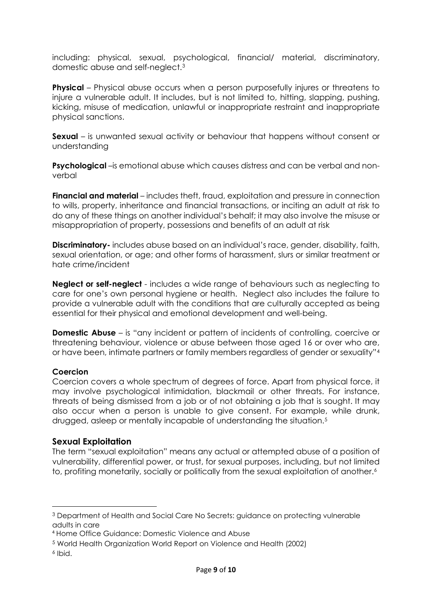including: physical, sexual, psychological, financial/ material, discriminatory, domestic abuse and self-neglect.[3](#page-8-0)

**Physical** – Physical abuse occurs when a person purposefully injures or threatens to injure a vulnerable adult. It includes, but is not limited to, hitting, slapping, pushing, kicking, misuse of medication, unlawful or inappropriate restraint and inappropriate physical sanctions.

**Sexual** – is unwanted sexual activity or behaviour that happens without consent or understanding

**Psychological** –is emotional abuse which causes distress and can be verbal and nonverbal

**Financial and material** – includes theft, fraud, exploitation and pressure in connection to wills, property, inheritance and financial transactions, or inciting an adult at risk to do any of these things on another individual's behalf; it may also involve the misuse or misappropriation of property, possessions and benefits of an adult at risk

**Discriminatory-** includes abuse based on an individual's race, gender, disability, faith, sexual orientation, or age; and other forms of harassment, slurs or similar treatment or hate crime/incident

**Neglect or self-neglect** - includes a wide range of behaviours such as neglecting to care for one's own personal hygiene or health. Neglect also includes the failure to provide a vulnerable adult with the conditions that are culturally accepted as being essential for their physical and emotional development and well-being.

**Domestic Abuse** – is "any incident or pattern of incidents of controlling, coercive or threatening behaviour, violence or abuse between those aged 16 or over who are, or have been, intimate partners or family members regardless of gender or sexuality["4](#page-8-1)

#### **Coercion**

Coercion covers a whole spectrum of degrees of force. Apart from physical force, it may involve psychological intimidation, blackmail or other threats. For instance, threats of being dismissed from a job or of not obtaining a job that is sought. It may also occur when a person is unable to give consent. For example, while drunk, drugged, asleep or mentally incapable of understanding the situation[.5](#page-8-2)

#### **Sexual Exploitation**

The term "sexual exploitation" means any actual or attempted abuse of a position of vulnerability, differential power, or trust, for sexual purposes, including, but not limited to, profiting monetarily, socially or politically from the sexual exploitation of another.<sup>[6](#page-8-3)</sup>

 $\overline{a}$ 

<span id="page-8-0"></span><sup>3</sup> Department of Health and Social Care No Secrets: guidance on protecting vulnerable adults in care

<span id="page-8-1"></span><sup>4</sup> Home Office Guidance: Domestic Violence and Abuse

<span id="page-8-2"></span><sup>5</sup> World Health Organization World Report on Violence and Health (2002)

<span id="page-8-3"></span><sup>6</sup> Ibid.